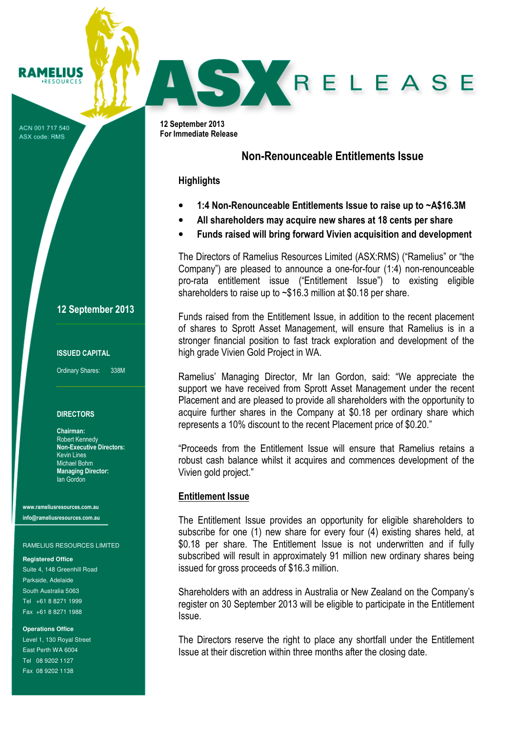ACN 001 717 540 ASX code: RMS

**RAMELIUS RESOURCES** 

## 12 September 2013

### ISSUED CAPITAL

Ordinary Shares: 338M

### **DIRECTORS**

Chairman: Robert Kennedy Non-Executive Directors: Kevin Lines Michael Bohm Managing Director: Ian Gordon

www.rameliusresources.com.au info@rameliusresources.com.au

#### RAMELIUS RESOURCES LIMITED

#### **Registered Office**

Suite 4, 148 Greenhill Road Parkside, Adelaide South Australia 5063 Tel +61 8 8271 1999 Fax +61 8 8271 1988

#### **Operations Office**

Level 1, 130 Royal Street East Perth WA 6004 Tel 08 9202 1127 Fax 08 9202 1138

12 September 2013 For Immediate Release

# Non-Renounceable Entitlements Issue

SKRELEASE

### **Highlights**

- 1:4 Non-Renounceable Entitlements Issue to raise up to ~A\$16.3M
- All shareholders may acquire new shares at 18 cents per share
- Funds raised will bring forward Vivien acquisition and development

The Directors of Ramelius Resources Limited (ASX:RMS) ("Ramelius" or "the Company") are pleased to announce a one-for-four (1:4) non-renounceable pro-rata entitlement issue ("Entitlement Issue") to existing eligible shareholders to raise up to ~\$16.3 million at \$0.18 per share.

Funds raised from the Entitlement Issue, in addition to the recent placement of shares to Sprott Asset Management, will ensure that Ramelius is in a stronger financial position to fast track exploration and development of the high grade Vivien Gold Project in WA.

Ramelius' Managing Director, Mr Ian Gordon, said: "We appreciate the support we have received from Sprott Asset Management under the recent Placement and are pleased to provide all shareholders with the opportunity to acquire further shares in the Company at \$0.18 per ordinary share which represents a 10% discount to the recent Placement price of \$0.20."

"Proceeds from the Entitlement Issue will ensure that Ramelius retains a robust cash balance whilst it acquires and commences development of the Vivien gold project."

## Entitlement Issue

The Entitlement Issue provides an opportunity for eligible shareholders to subscribe for one (1) new share for every four (4) existing shares held, at \$0.18 per share. The Entitlement Issue is not underwritten and if fully subscribed will result in approximately 91 million new ordinary shares being issued for gross proceeds of \$16.3 million.

Shareholders with an address in Australia or New Zealand on the Company's register on 30 September 2013 will be eligible to participate in the Entitlement Issue.

The Directors reserve the right to place any shortfall under the Entitlement Issue at their discretion within three months after the closing date.